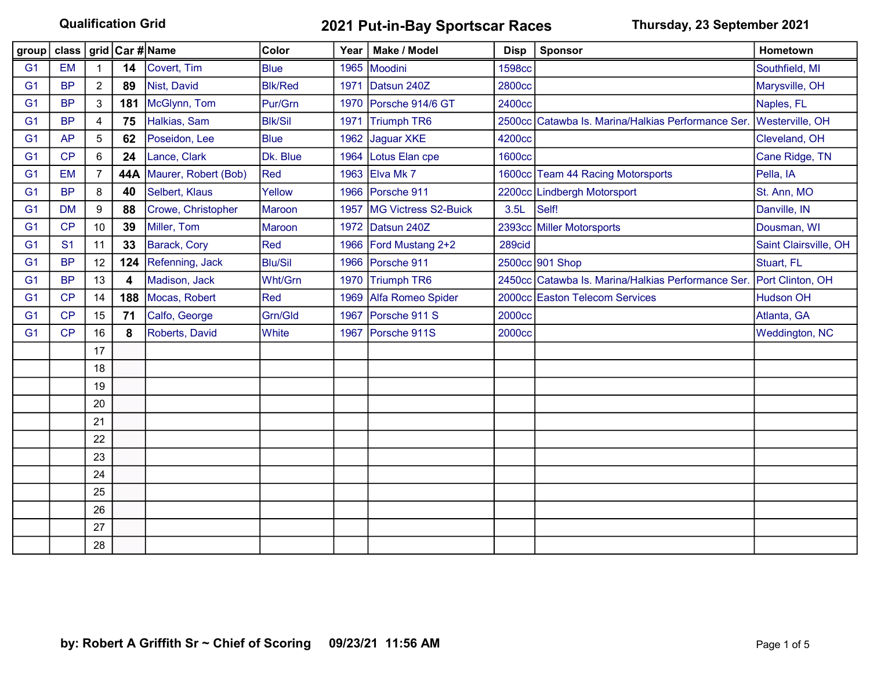## Qualification Grid **2021 Put-in-Bay Sportscar Races** Thursday, 23 September 2021

|                | group   class   grid   Car #   Name |                |     |                      | Color          |      | Year   Make / Model    | <b>Disp</b>   | Sponsor                                            | Hometown              |
|----------------|-------------------------------------|----------------|-----|----------------------|----------------|------|------------------------|---------------|----------------------------------------------------|-----------------------|
| G <sub>1</sub> | <b>EM</b>                           |                | 14  | Covert, Tim          | <b>Blue</b>    |      | 1965 Moodini           | <b>1598cc</b> |                                                    | Southfield, MI        |
| G <sub>1</sub> | <b>BP</b>                           | $\overline{2}$ | 89  | Nist, David          | <b>Blk/Red</b> | 1971 | Datsun 240Z            | 2800cc        |                                                    | Marysville, OH        |
| G <sub>1</sub> | <b>BP</b>                           | 3              | 181 | McGlynn, Tom         | Pur/Grn        |      | 1970 Porsche 914/6 GT  | 2400cc        |                                                    | Naples, FL            |
| G <sub>1</sub> | <b>BP</b>                           | 4              | 75  | Halkias, Sam         | <b>Blk/Sil</b> | 1971 | <b>Triumph TR6</b>     |               | 2500cc Catawba Is. Marina/Halkias Performance Ser. | Westerville, OH       |
| G <sub>1</sub> | <b>AP</b>                           | 5              | 62  | Poseidon, Lee        | <b>Blue</b>    |      | 1962 Jaguar XKE        | 4200cc        |                                                    | Cleveland, OH         |
| G <sub>1</sub> | CP                                  | 6              | 24  | Lance, Clark         | Dk. Blue       |      | 1964 Lotus Elan cpe    | <b>1600cc</b> |                                                    | Cane Ridge, TN        |
| G <sub>1</sub> | <b>EM</b>                           | 7              | 44A | Maurer, Robert (Bob) | Red            |      | 1963 Elva Mk 7         |               | 1600cc Team 44 Racing Motorsports                  | Pella, IA             |
| G <sub>1</sub> | <b>BP</b>                           | 8              | 40  | Selbert, Klaus       | Yellow         |      | 1966 Porsche 911       |               | 2200cc Lindbergh Motorsport                        | St. Ann, MO           |
| G <sub>1</sub> | <b>DM</b>                           | 9              | 88  | Crowe, Christopher   | Maroon         | 1957 | MG Victress S2-Buick   | 3.5L          | Self!                                              | Danville, IN          |
| G <sub>1</sub> | CP                                  | 10             | 39  | Miller, Tom          | Maroon         | 1972 | Datsun 240Z            |               | 2393cc Miller Motorsports                          | Dousman, WI           |
| G <sub>1</sub> | S <sub>1</sub>                      | 11             | 33  | Barack, Cory         | Red            |      | 1966 Ford Mustang 2+2  | 289cid        |                                                    | Saint Clairsville, OH |
| G <sub>1</sub> | <b>BP</b>                           | 12             | 124 | Refenning, Jack      | <b>Blu/Sil</b> |      | 1966 Porsche 911       |               | 2500cc 901 Shop                                    | Stuart, FL            |
| G <sub>1</sub> | <b>BP</b>                           | 13             | 4   | Madison, Jack        | Wht/Grn        |      | 1970 Triumph TR6       |               | 2450cc Catawba Is. Marina/Halkias Performance Ser. | Port Clinton, OH      |
| G <sub>1</sub> | CP                                  | 14             | 188 | Mocas, Robert        | Red            |      | 1969 Alfa Romeo Spider |               | 2000cc Easton Telecom Services                     | <b>Hudson OH</b>      |
| G <sub>1</sub> | CP                                  | 15             | 71  | Calfo, George        | Grn/Gld        | 1967 | Porsche 911 S          | 2000cc        |                                                    | Atlanta, GA           |
| G <sub>1</sub> | CP                                  | 16             | 8   | Roberts, David       | White          | 1967 | Porsche 911S           | 2000cc        |                                                    | <b>Weddington, NC</b> |
|                |                                     | 17             |     |                      |                |      |                        |               |                                                    |                       |
|                |                                     | 18             |     |                      |                |      |                        |               |                                                    |                       |
|                |                                     | 19             |     |                      |                |      |                        |               |                                                    |                       |
|                |                                     | 20             |     |                      |                |      |                        |               |                                                    |                       |
|                |                                     | 21             |     |                      |                |      |                        |               |                                                    |                       |
|                |                                     | 22             |     |                      |                |      |                        |               |                                                    |                       |
|                |                                     | 23             |     |                      |                |      |                        |               |                                                    |                       |
|                |                                     | 24             |     |                      |                |      |                        |               |                                                    |                       |
|                |                                     | 25             |     |                      |                |      |                        |               |                                                    |                       |
|                |                                     | 26             |     |                      |                |      |                        |               |                                                    |                       |
|                |                                     | 27             |     |                      |                |      |                        |               |                                                    |                       |
|                |                                     | 28             |     |                      |                |      |                        |               |                                                    |                       |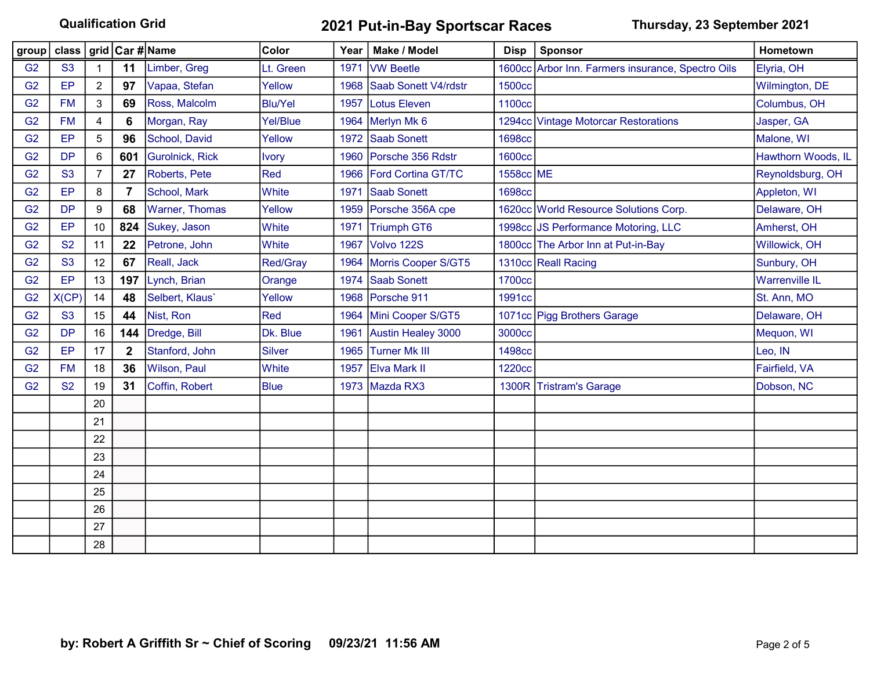## Qualification Grid 2021 Put-in-Bay Sportscar Races Thursday, 23 September 2021

|                | group   class   grid   Car # Name |                |                  |                        | Color          | Year | Make / Model            | <b>Disp</b>   | Sponsor                                           | Hometown              |
|----------------|-----------------------------------|----------------|------------------|------------------------|----------------|------|-------------------------|---------------|---------------------------------------------------|-----------------------|
| G <sub>2</sub> | S <sub>3</sub>                    |                | 11               | Limber, Greg           | Lt. Green      | 1971 | <b>VW Beetle</b>        |               | 1600cc Arbor Inn. Farmers insurance, Spectro Oils | Elyria, OH            |
| G <sub>2</sub> | EP                                | $\overline{2}$ | 97               | Vapaa, Stefan          | Yellow         | 1968 | Saab Sonett V4/rdstr    | 1500cc        |                                                   | Wilmington, DE        |
| G <sub>2</sub> | <b>FM</b>                         | 3              | 69               | Ross, Malcolm          | <b>Blu/Yel</b> |      | 1957 Lotus Eleven       | 1100cc        |                                                   | Columbus, OH          |
| G <sub>2</sub> | <b>FM</b>                         | 4              | 6                | Morgan, Ray            | Yel/Blue       |      | 1964 Merlyn Mk 6        |               | 1294cc Vintage Motorcar Restorations              | Jasper, GA            |
| G <sub>2</sub> | EP                                | 5              | 96               | School, David          | Yellow         |      | 1972 Saab Sonett        | <b>1698cc</b> |                                                   | Malone, WI            |
| G <sub>2</sub> | <b>DP</b>                         | 6              | 601              | <b>Gurolnick, Rick</b> | <b>Ivory</b>   | 1960 | Porsche 356 Rdstr       | <b>1600cc</b> |                                                   | Hawthorn Woods, IL    |
| G <sub>2</sub> | S <sub>3</sub>                    | 7              | 27               | Roberts, Pete          | Red            |      | 1966 Ford Cortina GT/TC | 1558cc ME     |                                                   | Reynoldsburg, OH      |
| G <sub>2</sub> | EP                                | 8              | 7                | School, Mark           | White          | 1971 | <b>Saab Sonett</b>      | <b>1698cc</b> |                                                   | Appleton, WI          |
| G <sub>2</sub> | <b>DP</b>                         | 9              | 68               | Warner, Thomas         | Yellow         | 1959 | Porsche 356A cpe        |               | 1620cc World Resource Solutions Corp.             | Delaware, OH          |
| G <sub>2</sub> | EP                                | 10             | 824              | Sukey, Jason           | White          | 1971 | Triumph GT6             |               | 1998cc JS Performance Motoring, LLC               | Amherst, OH           |
| G <sub>2</sub> | <b>S2</b>                         | 11             | 22               | Petrone, John          | White          | 1967 | Volvo 122S              |               | 1800cc The Arbor Inn at Put-in-Bay                | Willowick, OH         |
| G <sub>2</sub> | S <sub>3</sub>                    | 12             | 67               | Reall, Jack            | Red/Gray       | 1964 | Morris Cooper S/GT5     |               | 1310cc Reall Racing                               | Sunbury, OH           |
| G <sub>2</sub> | EP                                | 13             | 197              | Lynch, Brian           | Orange         |      | 1974 Saab Sonett        | 1700cc        |                                                   | <b>Warrenville IL</b> |
| G <sub>2</sub> | X(CP)                             | 14             | 48               | Selbert, Klaus'        | Yellow         |      | 1968 Porsche 911        | 1991cc        |                                                   | St. Ann, MO           |
| G <sub>2</sub> | S <sub>3</sub>                    | 15             | 44               | Nist, Ron              | Red            | 1964 | Mini Cooper S/GT5       |               | 1071cc Pigg Brothers Garage                       | Delaware, OH          |
| G <sub>2</sub> | <b>DP</b>                         | 16             | 144              | Dredge, Bill           | Dk. Blue       | 1961 | Austin Healey 3000      | 3000cc        |                                                   | Mequon, WI            |
| G <sub>2</sub> | EP                                | 17             | $\boldsymbol{2}$ | Stanford, John         | <b>Silver</b>  | 1965 | <b>Turner Mk III</b>    | 1498cc        |                                                   | Leo, IN               |
| G <sub>2</sub> | <b>FM</b>                         | 18             | 36               | Wilson, Paul           | White          |      | 1957 Elva Mark II       | <b>1220cc</b> |                                                   | Fairfield, VA         |
| G <sub>2</sub> | <b>S2</b>                         | 19             | 31               | Coffin, Robert         | <b>Blue</b>    |      | 1973 Mazda RX3          | 1300R         | <b>Tristram's Garage</b>                          | Dobson, NC            |
|                |                                   | 20             |                  |                        |                |      |                         |               |                                                   |                       |
|                |                                   | 21             |                  |                        |                |      |                         |               |                                                   |                       |
|                |                                   | 22             |                  |                        |                |      |                         |               |                                                   |                       |
|                |                                   | 23             |                  |                        |                |      |                         |               |                                                   |                       |
|                |                                   | 24             |                  |                        |                |      |                         |               |                                                   |                       |
|                |                                   | 25             |                  |                        |                |      |                         |               |                                                   |                       |
|                |                                   | 26             |                  |                        |                |      |                         |               |                                                   |                       |
|                |                                   | 27             |                  |                        |                |      |                         |               |                                                   |                       |
|                |                                   | 28             |                  |                        |                |      |                         |               |                                                   |                       |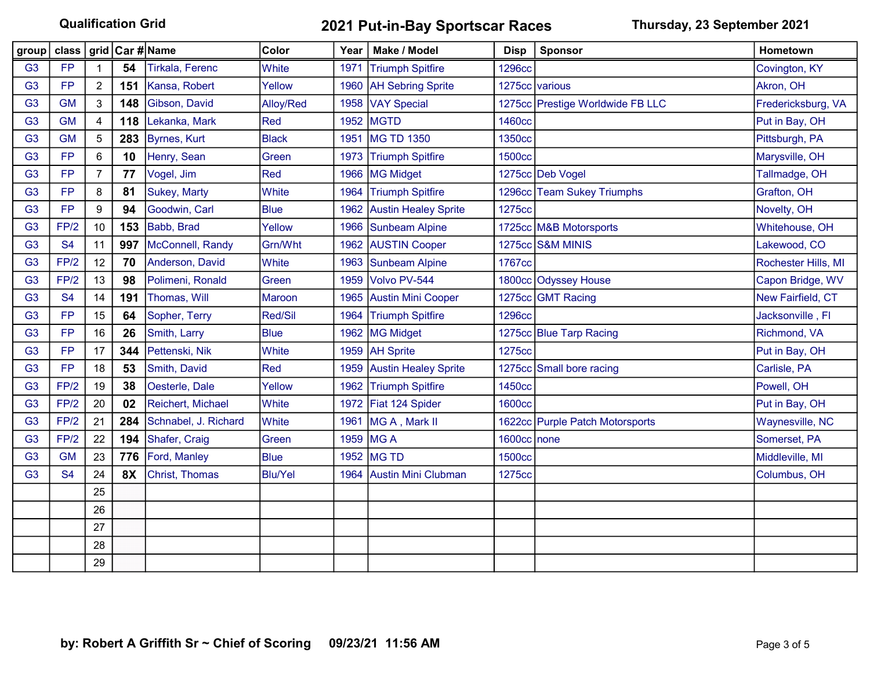Qualification Grid 2021 Put-in-Bay Sportscar Races Thursday, 23 September 2021

| group          | class   grid   Car #   Name |                |     |                        | <b>Color</b>   | Year | Make / Model                | <b>Disp</b>   | Sponsor                          | Hometown            |
|----------------|-----------------------------|----------------|-----|------------------------|----------------|------|-----------------------------|---------------|----------------------------------|---------------------|
| G <sub>3</sub> | <b>FP</b>                   |                | 54  | <b>Tirkala, Ferenc</b> | White          | 1971 | <b>Triumph Spitfire</b>     | <b>1296cc</b> |                                  | Covington, KY       |
| G <sub>3</sub> | <b>FP</b>                   | $\overline{c}$ | 151 | Kansa, Robert          | Yellow         | 1960 | <b>AH Sebring Sprite</b>    |               | 1275cc various                   | Akron, OH           |
| G <sub>3</sub> | <b>GM</b>                   | 3              | 148 | Gibson, David          | Alloy/Red      |      | 1958 VAY Special            |               | 1275cc Prestige Worldwide FB LLC | Fredericksburg, VA  |
| G <sub>3</sub> | <b>GM</b>                   | 4              | 118 | Lekanka, Mark          | Red            |      | 1952 MGTD                   | 1460cc        |                                  | Put in Bay, OH      |
| G <sub>3</sub> | <b>GM</b>                   | 5              | 283 | <b>Byrnes, Kurt</b>    | <b>Black</b>   | 1951 | <b>MG TD 1350</b>           | 1350cc        |                                  | Pittsburgh, PA      |
| G <sub>3</sub> | <b>FP</b>                   | 6              | 10  | Henry, Sean            | Green          | 1973 | <b>Triumph Spitfire</b>     | <b>1500cc</b> |                                  | Marysville, OH      |
| G <sub>3</sub> | <b>FP</b>                   | 7              | 77  | Vogel, Jim             | Red            | 1966 | <b>MG Midget</b>            |               | 1275cc Deb Vogel                 | Tallmadge, OH       |
| G <sub>3</sub> | <b>FP</b>                   | 8              | 81  | Sukey, Marty           | White          | 1964 | <b>Triumph Spitfire</b>     |               | 1296cc Team Sukey Triumphs       | Grafton, OH         |
| G <sub>3</sub> | <b>FP</b>                   | 9              | 94  | Goodwin, Carl          | <b>Blue</b>    |      | 1962 Austin Healey Sprite   | 1275cc        |                                  | Novelty, OH         |
| G <sub>3</sub> | FP/2                        | 10             | 153 | Babb, Brad             | Yellow         | 1966 | <b>Sunbeam Alpine</b>       |               | 1725cc M&B Motorsports           | Whitehouse, OH      |
| G <sub>3</sub> | <b>S4</b>                   | 11             | 997 | McConnell, Randy       | Grn/Wht        |      | 1962 AUSTIN Cooper          |               | 1275cc S&M MINIS                 | Lakewood, CO        |
| G <sub>3</sub> | FP/2                        | 12             | 70  | Anderson, David        | White          | 1963 | <b>Sunbeam Alpine</b>       | 1767cc        |                                  | Rochester Hills, MI |
| G <sub>3</sub> | FP/2                        | 13             | 98  | Polimeni, Ronald       | Green          | 1959 | Volvo PV-544                |               | 1800cc Odyssey House             | Capon Bridge, WV    |
| G <sub>3</sub> | <b>S4</b>                   | 14             | 191 | Thomas, Will           | <b>Maroon</b>  | 1965 | <b>Austin Mini Cooper</b>   |               | 1275cc GMT Racing                | New Fairfield, CT   |
| G <sub>3</sub> | <b>FP</b>                   | 15             | 64  | Sopher, Terry          | Red/Sil        | 1964 | <b>Triumph Spitfire</b>     | <b>1296cc</b> |                                  | Jacksonville, Fl    |
| G <sub>3</sub> | <b>FP</b>                   | 16             | 26  | Smith, Larry           | <b>Blue</b>    |      | 1962 MG Midget              |               | 1275cc Blue Tarp Racing          | Richmond, VA        |
| G <sub>3</sub> | <b>FP</b>                   | 17             | 344 | Pettenski, Nik         | White          |      | 1959 AH Sprite              | 1275cc        |                                  | Put in Bay, OH      |
| G <sub>3</sub> | <b>FP</b>                   | 18             | 53  | Smith, David           | Red            | 1959 | <b>Austin Healey Sprite</b> | 1275cc        | Small bore racing                | Carlisle, PA        |
| G <sub>3</sub> | FP/2                        | 19             | 38  | Oesterle, Dale         | Yellow         | 1962 | <b>Triumph Spitfire</b>     | 1450cc        |                                  | Powell, OH          |
| G <sub>3</sub> | FP/2                        | 20             | 02  | Reichert, Michael      | White          |      | 1972 Fiat 124 Spider        | <b>1600cc</b> |                                  | Put in Bay, OH      |
| G <sub>3</sub> | FP/2                        | 21             | 284 | Schnabel, J. Richard   | White          | 1961 | MG A, Mark II               |               | 1622cc Purple Patch Motorsports  | Waynesville, NC     |
| G <sub>3</sub> | FP/2                        | 22             | 194 | Shafer, Craig          | Green          |      | 1959 MG A                   | 1600cc none   |                                  | Somerset, PA        |
| G <sub>3</sub> | <b>GM</b>                   | 23             | 776 | Ford, Manley           | <b>Blue</b>    |      | 1952 MG TD                  | <b>1500cc</b> |                                  | Middleville, MI     |
| G <sub>3</sub> | <b>S4</b>                   | 24             | 8X  | Christ, Thomas         | <b>Blu/Yel</b> |      | 1964 Austin Mini Clubman    | 1275cc        |                                  | Columbus, OH        |
|                |                             | 25             |     |                        |                |      |                             |               |                                  |                     |
|                |                             | 26             |     |                        |                |      |                             |               |                                  |                     |
|                |                             | 27             |     |                        |                |      |                             |               |                                  |                     |
|                |                             | 28             |     |                        |                |      |                             |               |                                  |                     |
|                |                             | 29             |     |                        |                |      |                             |               |                                  |                     |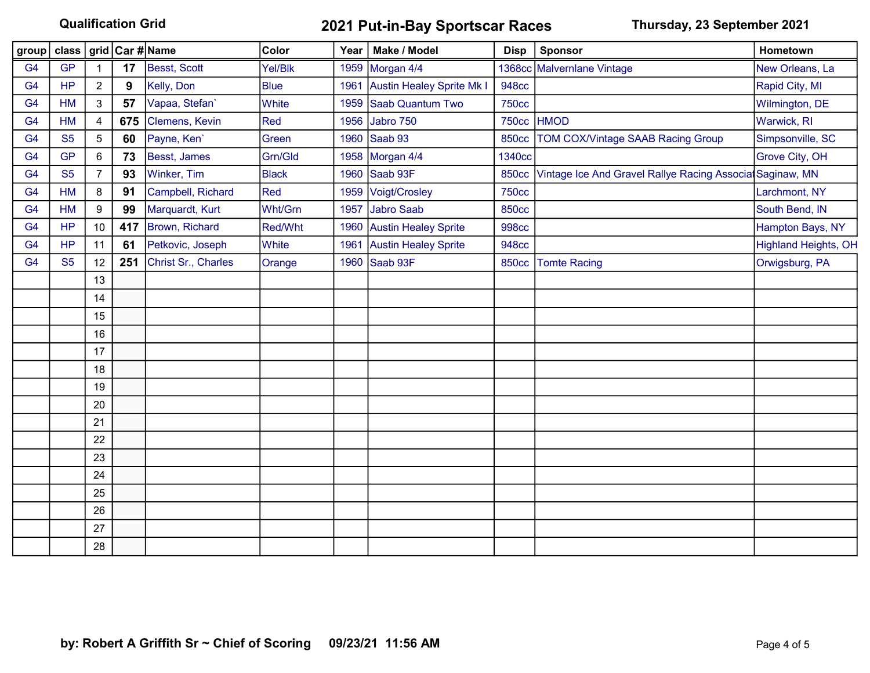Qualification Grid **2021 Put-in-Bay Sportscar Races** Thursday, 23 September 2021

| group          |           |                |     |                     | Color          |      | Year   Make / Model              | <b>Disp</b>  | Sponsor                                                  | Hometown                    |
|----------------|-----------|----------------|-----|---------------------|----------------|------|----------------------------------|--------------|----------------------------------------------------------|-----------------------------|
| G <sub>4</sub> | <b>GP</b> |                | 17  | Besst, Scott        | Yel/Blk        |      | 1959 Morgan 4/4                  |              | 1368cc Malvernlane Vintage                               | New Orleans, La             |
| G <sub>4</sub> | <b>HP</b> | $\overline{a}$ | 9   | Kelly, Don          | <b>Blue</b>    | 1961 | <b>Austin Healey Sprite Mk I</b> | <b>948cc</b> |                                                          | Rapid City, MI              |
| G <sub>4</sub> | HM        | 3              | 57  | Vapaa, Stefan'      | White          | 1959 | Saab Quantum Two                 | <b>750cc</b> |                                                          | Wilmington, DE              |
| G <sub>4</sub> | <b>HM</b> | 4              | 675 | Clemens, Kevin      | Red            | 1956 | Jabro 750                        | <b>750cc</b> | <b>HMOD</b>                                              | Warwick, RI                 |
| G <sub>4</sub> | <b>S5</b> | 5              | 60  | Payne, Ken'         | Green          | 1960 | Saab 93                          | <b>850cc</b> | <b>TOM COX/Vintage SAAB Racing Group</b>                 | Simpsonville, SC            |
| G <sub>4</sub> | <b>GP</b> | 6              | 73  | Besst, James        | Grn/Gld        |      | 1958 Morgan 4/4                  | 1340cc       |                                                          | Grove City, OH              |
| G <sub>4</sub> | <b>S5</b> | $\overline{7}$ | 93  | Winker, Tim         | <b>Black</b>   |      | 1960 Saab 93F                    | <b>850cc</b> | Vintage Ice And Gravel Rallye Racing Associa Saginaw, MN |                             |
| G <sub>4</sub> | HM        | 8              | 91  | Campbell, Richard   | Red            |      | 1959 Voigt/Crosley               | <b>750cc</b> |                                                          | Larchmont, NY               |
| G <sub>4</sub> | <b>HM</b> | 9              | 99  | Marquardt, Kurt     | Wht/Grn        | 1957 | Jabro Saab                       | <b>850cc</b> |                                                          | South Bend, IN              |
| G <sub>4</sub> | <b>HP</b> | 10             | 417 | Brown, Richard      | <b>Red/Wht</b> | 1960 | <b>Austin Healey Sprite</b>      | <b>998cc</b> |                                                          | Hampton Bays, NY            |
| G <sub>4</sub> | <b>HP</b> | 11             | 61  | Petkovic, Joseph    | White          | 1961 | <b>Austin Healey Sprite</b>      | <b>948cc</b> |                                                          | <b>Highland Heights, OH</b> |
| G <sub>4</sub> | <b>S5</b> | 12             | 251 | Christ Sr., Charles | Orange         | 1960 | Saab 93F                         | <b>850cc</b> | <b>Tomte Racing</b>                                      | Orwigsburg, PA              |
|                |           | 13             |     |                     |                |      |                                  |              |                                                          |                             |
|                |           | 14             |     |                     |                |      |                                  |              |                                                          |                             |
|                |           | 15             |     |                     |                |      |                                  |              |                                                          |                             |
|                |           | 16             |     |                     |                |      |                                  |              |                                                          |                             |
|                |           | 17             |     |                     |                |      |                                  |              |                                                          |                             |
|                |           | 18             |     |                     |                |      |                                  |              |                                                          |                             |
|                |           | 19             |     |                     |                |      |                                  |              |                                                          |                             |
|                |           | 20             |     |                     |                |      |                                  |              |                                                          |                             |
|                |           | 21             |     |                     |                |      |                                  |              |                                                          |                             |
|                |           | 22             |     |                     |                |      |                                  |              |                                                          |                             |
|                |           | 23             |     |                     |                |      |                                  |              |                                                          |                             |
|                |           | 24             |     |                     |                |      |                                  |              |                                                          |                             |
|                |           | 25             |     |                     |                |      |                                  |              |                                                          |                             |
|                |           | 26             |     |                     |                |      |                                  |              |                                                          |                             |
|                |           | 27             |     |                     |                |      |                                  |              |                                                          |                             |
|                |           | 28             |     |                     |                |      |                                  |              |                                                          |                             |